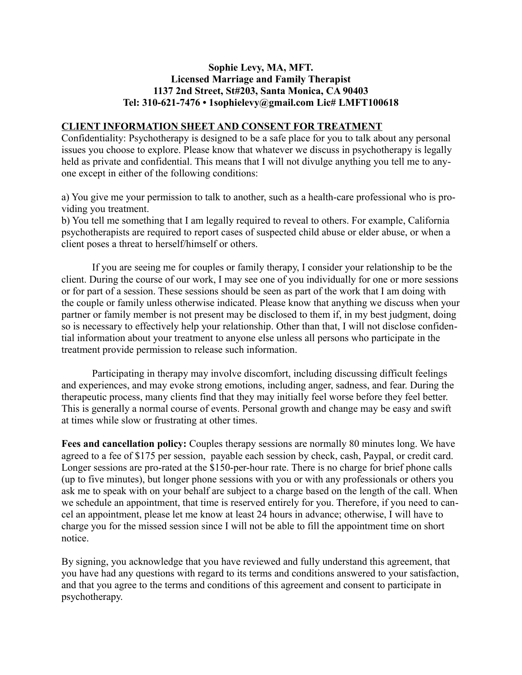## **Sophie Levy, MA, MFT. Licensed Marriage and Family Therapist 1137 2nd Street, St#203, Santa Monica, CA 90403 Tel: 310-621-7476 • 1sophielevy@gmail.com Lic# LMFT100618**

## **CLIENT INFORMATION SHEET AND CONSENT FOR TREATMENT**

Confidentiality: Psychotherapy is designed to be a safe place for you to talk about any personal issues you choose to explore. Please know that whatever we discuss in psychotherapy is legally held as private and confidential. This means that I will not divulge anything you tell me to anyone except in either of the following conditions:

a) You give me your permission to talk to another, such as a health-care professional who is providing you treatment.

b) You tell me something that I am legally required to reveal to others. For example, California psychotherapists are required to report cases of suspected child abuse or elder abuse, or when a client poses a threat to herself/himself or others.

If you are seeing me for couples or family therapy, I consider your relationship to be the client. During the course of our work, I may see one of you individually for one or more sessions or for part of a session. These sessions should be seen as part of the work that I am doing with the couple or family unless otherwise indicated. Please know that anything we discuss when your partner or family member is not present may be disclosed to them if, in my best judgment, doing so is necessary to effectively help your relationship. Other than that, I will not disclose confidential information about your treatment to anyone else unless all persons who participate in the treatment provide permission to release such information.

Participating in therapy may involve discomfort, including discussing difficult feelings and experiences, and may evoke strong emotions, including anger, sadness, and fear. During the therapeutic process, many clients find that they may initially feel worse before they feel better. This is generally a normal course of events. Personal growth and change may be easy and swift at times while slow or frustrating at other times.

**Fees and cancellation policy:** Couples therapy sessions are normally 80 minutes long. We have agreed to a fee of \$175 per session, payable each session by check, cash, Paypal, or credit card. Longer sessions are pro-rated at the \$150-per-hour rate. There is no charge for brief phone calls (up to five minutes), but longer phone sessions with you or with any professionals or others you ask me to speak with on your behalf are subject to a charge based on the length of the call. When we schedule an appointment, that time is reserved entirely for you. Therefore, if you need to cancel an appointment, please let me know at least 24 hours in advance; otherwise, I will have to charge you for the missed session since I will not be able to fill the appointment time on short notice.

By signing, you acknowledge that you have reviewed and fully understand this agreement, that you have had any questions with regard to its terms and conditions answered to your satisfaction, and that you agree to the terms and conditions of this agreement and consent to participate in psychotherapy.